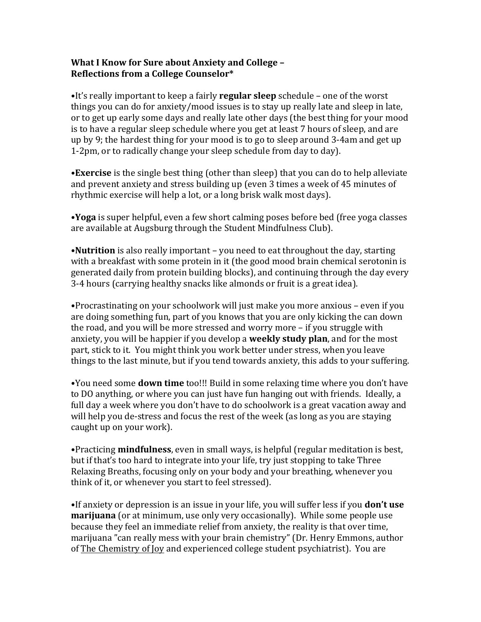## **What I Know for Sure about Anxiety and College -Reflections from a College Counselor\***

•It's really important to keep a fairly **regular sleep** schedule – one of the worst things you can do for anxiety/mood issues is to stay up really late and sleep in late, or to get up early some days and really late other days (the best thing for your mood is to have a regular sleep schedule where you get at least 7 hours of sleep, and are up by 9; the hardest thing for your mood is to go to sleep around  $3-4$ am and get up 1-2pm, or to radically change your sleep schedule from day to day).

•**Exercise** is the single best thing (other than sleep) that you can do to help alleviate and prevent anxiety and stress building up (even 3 times a week of 45 minutes of rhythmic exercise will help a lot, or a long brisk walk most days).

•**Yoga** is super helpful, even a few short calming poses before bed (free yoga classes are available at Augsburg through the Student Mindfulness Club).

•**Nutrition** is also really important – you need to eat throughout the day, starting with a breakfast with some protein in it (the good mood brain chemical serotonin is generated daily from protein building blocks), and continuing through the day every 3-4 hours (carrying healthy snacks like almonds or fruit is a great idea).

•Procrastinating on your schoolwork will just make you more anxious – even if you are doing something fun, part of you knows that you are only kicking the can down the road, and you will be more stressed and worry more  $-$  if you struggle with anxiety, you will be happier if you develop a **weekly study plan**, and for the most part, stick to it. You might think you work better under stress, when you leave things to the last minute, but if you tend towards anxiety, this adds to your suffering.

•You need some **down time** too!!! Build in some relaxing time where you don't have to DO anything, or where you can just have fun hanging out with friends. Ideally, a full day a week where you don't have to do schoolwork is a great vacation away and will help you de-stress and focus the rest of the week (as long as you are staying caught up on your work).

•Practicing **mindfulness**, even in small ways, is helpful (regular meditation is best, but if that's too hard to integrate into your life, try just stopping to take Three Relaxing Breaths, focusing only on your body and your breathing, whenever you think of it, or whenever you start to feel stressed).

•If anxiety or depression is an issue in your life, you will suffer less if you **don't use marijuana** (or at minimum, use only very occasionally). While some people use because they feel an immediate relief from anxiety, the reality is that over time, marijuana "can really mess with your brain chemistry" (Dr. Henry Emmons, author of The Chemistry of Joy and experienced college student psychiatrist). You are